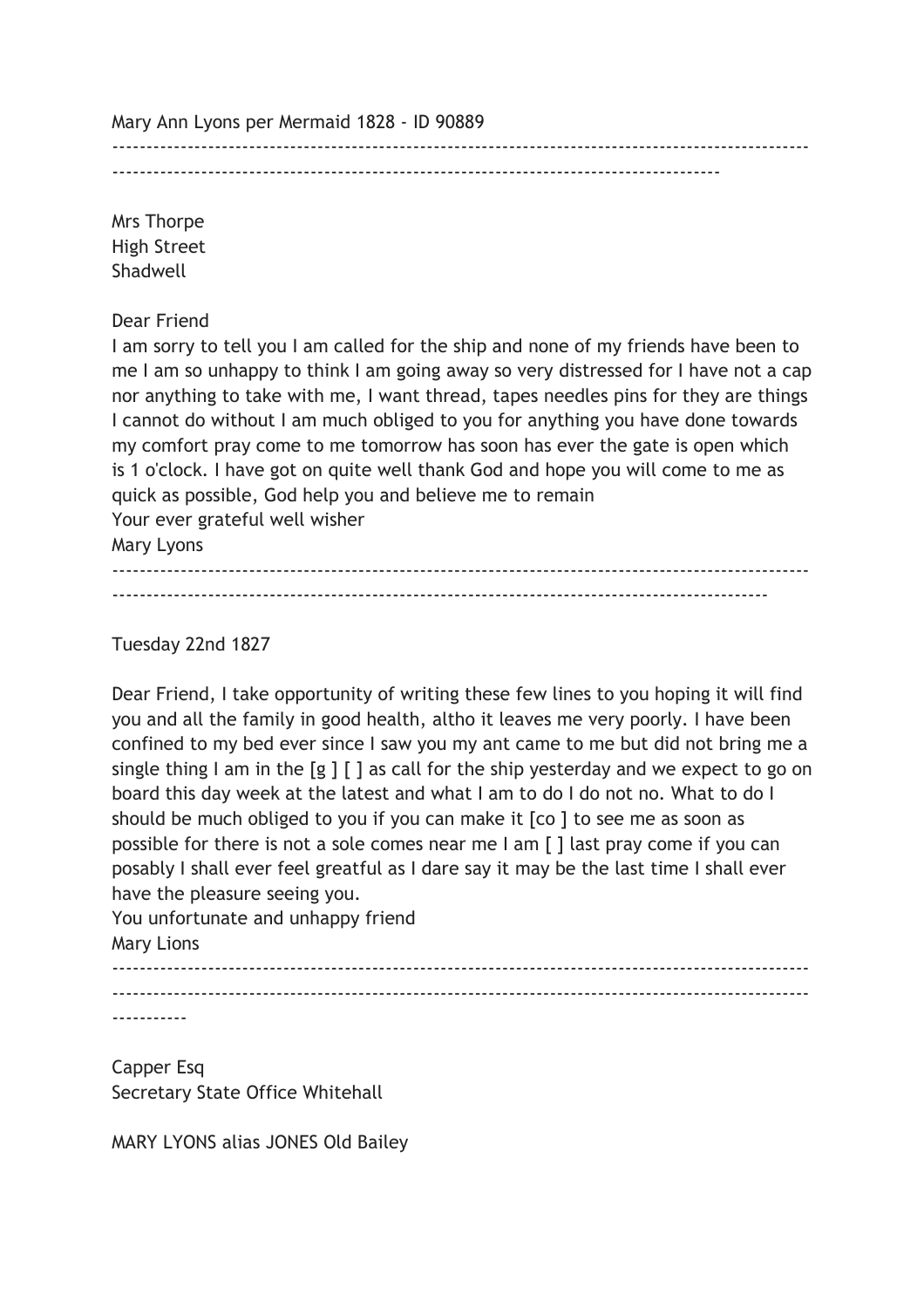Mary Ann Lyons per Mermaid 1828 - ID 90889

-----------------------------------------------------------------------------------------

------------------------------------------------------------------------------------------------------

Mrs Thorpe High Street Shadwell

Dear Friend

I am sorry to tell you I am called for the ship and none of my friends have been to me I am so unhappy to think I am going away so very distressed for I have not a cap nor anything to take with me, I want thread, tapes needles pins for they are things I cannot do without I am much obliged to you for anything you have done towards my comfort pray come to me tomorrow has soon has ever the gate is open which is 1 o'clock. I have got on quite well thank God and hope you will come to me as quick as possible, God help you and believe me to remain Your ever grateful well wisher Mary Lyons

------------------------------------------------------------------------------------------------------ ------------------------------------------------------------------------------------------------

Tuesday 22nd 1827

Dear Friend, I take opportunity of writing these few lines to you hoping it will find you and all the family in good health, altho it leaves me very poorly. I have been confined to my bed ever since I saw you my ant came to me but did not bring me a single thing I am in the  $[g]$   $[$   $]$  as call for the ship yesterday and we expect to go on board this day week at the latest and what I am to do I do not no. What to do I should be much obliged to you if you can make it [co ] to see me as soon as possible for there is not a sole comes near me I am [ ] last pray come if you can posably I shall ever feel greatful as I dare say it may be the last time I shall ever have the pleasure seeing you. You unfortunate and unhappy friend

Mary Lions

------------------------------------------------------------------------------------------------------ ------------------------------------------------------------------------------------------------------

-----------

Capper Esq Secretary State Office Whitehall

MARY LYONS alias JONES Old Bailey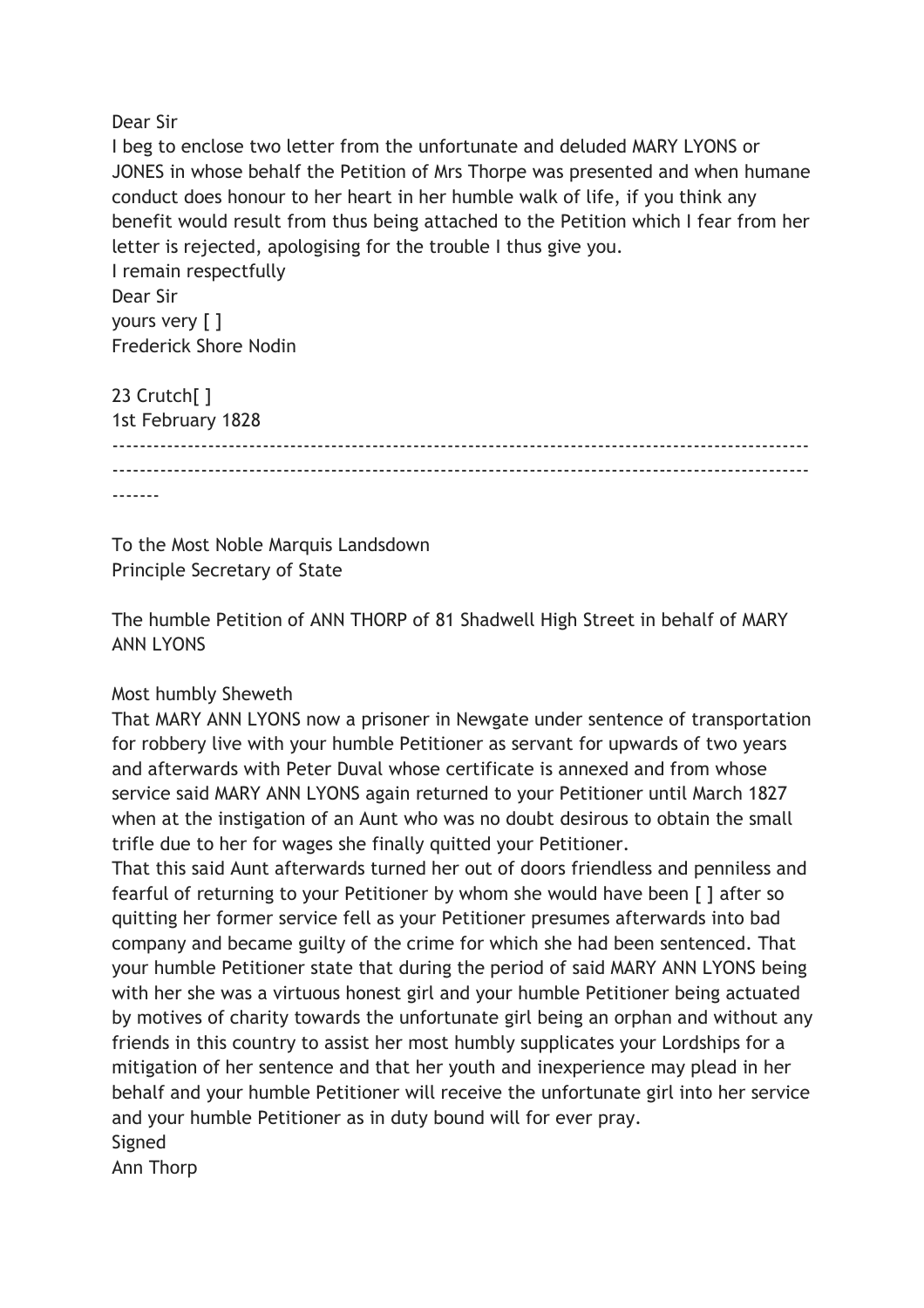Dear Sir

I beg to enclose two letter from the unfortunate and deluded MARY LYONS or JONES in whose behalf the Petition of Mrs Thorpe was presented and when humane conduct does honour to her heart in her humble walk of life, if you think any benefit would result from thus being attached to the Petition which I fear from her letter is rejected, apologising for the trouble I thus give you.

I remain respectfully Dear Sir yours very [ ] Frederick Shore Nodin

23 Crutch[ ] 1st February 1828 ------------------------------------------------------------------------------------------------------  $-$ -------

To the Most Noble Marquis Landsdown Principle Secretary of State

The humble Petition of ANN THORP of 81 Shadwell High Street in behalf of MARY ANN LYONS

## Most humbly Sheweth

That MARY ANN LYONS now a prisoner in Newgate under sentence of transportation for robbery live with your humble Petitioner as servant for upwards of two years and afterwards with Peter Duval whose certificate is annexed and from whose service said MARY ANN LYONS again returned to your Petitioner until March 1827 when at the instigation of an Aunt who was no doubt desirous to obtain the small trifle due to her for wages she finally quitted your Petitioner.

That this said Aunt afterwards turned her out of doors friendless and penniless and fearful of returning to your Petitioner by whom she would have been [ ] after so quitting her former service fell as your Petitioner presumes afterwards into bad company and became guilty of the crime for which she had been sentenced. That your humble Petitioner state that during the period of said MARY ANN LYONS being with her she was a virtuous honest girl and your humble Petitioner being actuated by motives of charity towards the unfortunate girl being an orphan and without any friends in this country to assist her most humbly supplicates your Lordships for a mitigation of her sentence and that her youth and inexperience may plead in her behalf and your humble Petitioner will receive the unfortunate girl into her service and your humble Petitioner as in duty bound will for ever pray. Signed

Ann Thorp